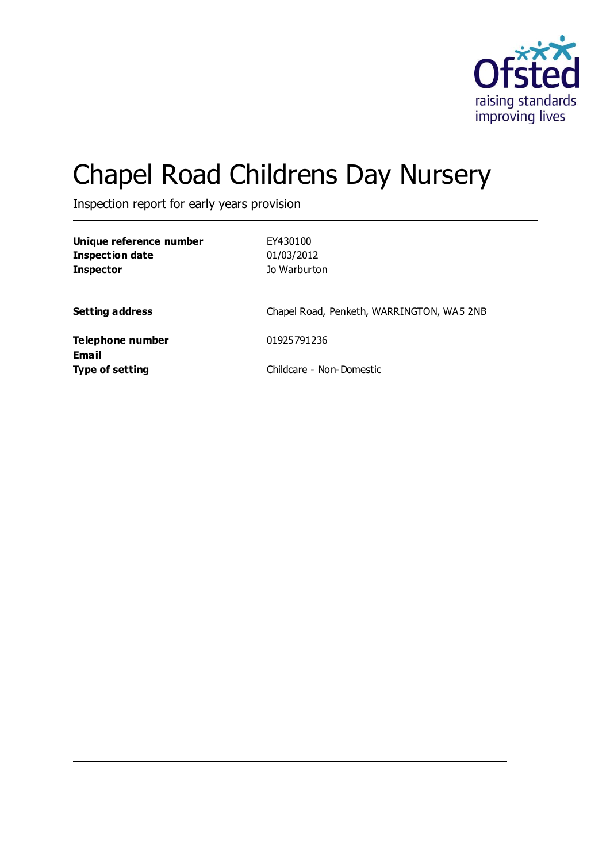

# Chapel Road Childrens Day Nursery

Inspection report for early years provision

| Unique reference number<br><b>Inspection date</b><br><b>Inspector</b> | EY430100<br>01/03/2012<br>Jo Warburton    |
|-----------------------------------------------------------------------|-------------------------------------------|
| <b>Setting address</b>                                                | Chapel Road, Penketh, WARRINGTON, WA5 2NB |
| Telephone number<br><b>Email</b>                                      | 01925791236                               |
| <b>Type of setting</b>                                                | Childcare - Non-Domestic                  |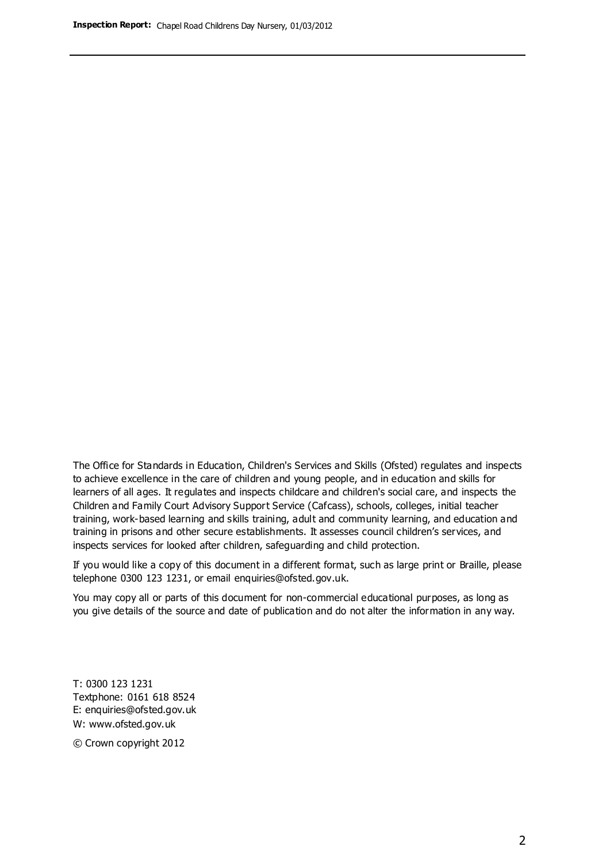The Office for Standards in Education, Children's Services and Skills (Ofsted) regulates and inspects to achieve excellence in the care of children and young people, and in education and skills for learners of all ages. It regulates and inspects childcare and children's social care, and inspects the Children and Family Court Advisory Support Service (Cafcass), schools, colleges, initial teacher training, work-based learning and skills training, adult and community learning, and education and training in prisons and other secure establishments. It assesses council children's services, and inspects services for looked after children, safeguarding and child protection.

If you would like a copy of this document in a different format, such as large print or Braille, please telephone 0300 123 1231, or email enquiries@ofsted.gov.uk.

You may copy all or parts of this document for non-commercial educational purposes, as long as you give details of the source and date of publication and do not alter the information in any way.

T: 0300 123 1231 Textphone: 0161 618 8524 E: enquiries@ofsted.gov.uk W: [www.ofsted.gov.uk](http://www.ofsted.gov.uk/)

© Crown copyright 2012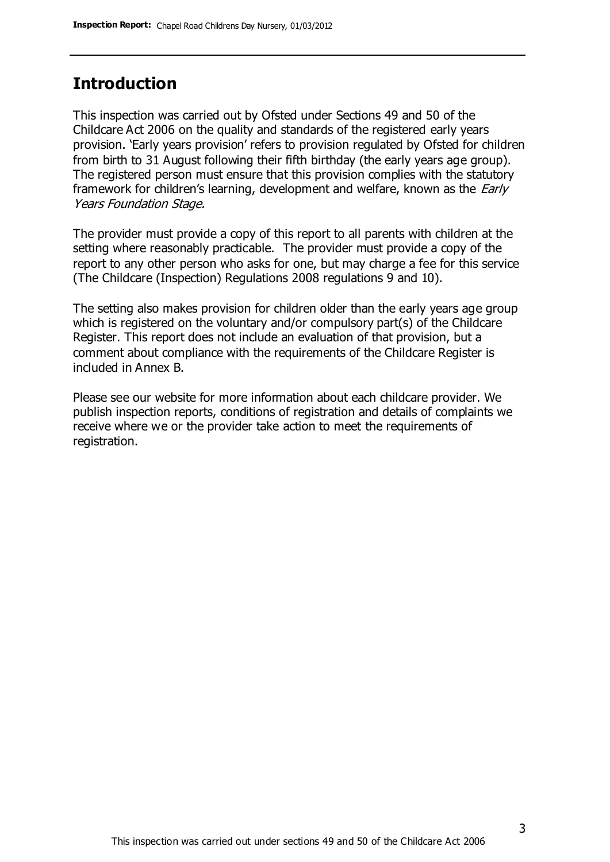### **Introduction**

This inspection was carried out by Ofsted under Sections 49 and 50 of the Childcare Act 2006 on the quality and standards of the registered early years provision. 'Early years provision' refers to provision regulated by Ofsted for children from birth to 31 August following their fifth birthday (the early years age group). The registered person must ensure that this provision complies with the statutory framework for children's learning, development and welfare, known as the *Early* Years Foundation Stage.

The provider must provide a copy of this report to all parents with children at the setting where reasonably practicable. The provider must provide a copy of the report to any other person who asks for one, but may charge a fee for this service (The Childcare (Inspection) Regulations 2008 regulations 9 and 10).

The setting also makes provision for children older than the early years age group which is registered on the voluntary and/or compulsory part(s) of the Childcare Register. This report does not include an evaluation of that provision, but a comment about compliance with the requirements of the Childcare Register is included in Annex B.

Please see our website for more information about each childcare provider. We publish inspection reports, conditions of registration and details of complaints we receive where we or the provider take action to meet the requirements of registration.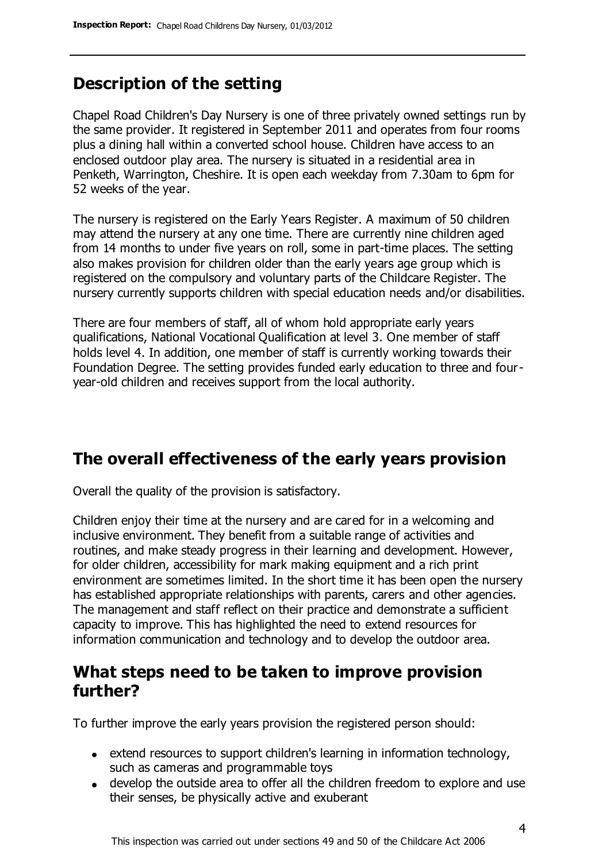### **Description of the setting**

Chapel Road Children's Day Nursery is one of three privately owned settings run by the same provider. It registered in September 2011 and operates from four rooms plus a dining hall within a converted school house. Children have access to an enclosed outdoor play area. The nursery is situated in a residential area in Penketh, Warrington, Cheshire. It is open each weekday from 7.30am to 6pm for 52 weeks of the year.

The nursery is registered on the Early Years Register. A maximum of 50 children may attend the nursery at any one time. There are currently nine children aged from 14 months to under five years on roll, some in part-time places. The setting also makes provision for children older than the early years age group which is registered on the compulsory and voluntary parts of the Childcare Register. The nursery currently supports children with special education needs and/or disabilities.

There are four members of staff, all of whom hold appropriate early years qualifications, National Vocational Qualification at level 3. One member of staff holds level 4. In addition, one member of staff is currently working towards their Foundation Degree. The setting provides funded early education to three and fouryear-old children and receives support from the local authority.

### **The overall effectiveness of the early years provision**

Overall the quality of the provision is satisfactory.

Children enjoy their time at the nursery and are cared for in a welcoming and inclusive environment. They benefit from a suitable range of activities and routines, and make steady progress in their learning and development. However, for older children, accessibility for mark making equipment and a rich print environment are sometimes limited. In the short time it has been open the nursery has established appropriate relationships with parents, carers and other agencies. The management and staff reflect on their practice and demonstrate a sufficient capacity to improve. This has highlighted the need to extend resources for information communication and technology and to develop the outdoor area.

### **What steps need to be taken to improve provision further?**

To further improve the early years provision the registered person should:

- extend resources to support children's learning in information technology, such as cameras and programmable toys
- develop the outside area to offer all the children freedom to explore and use their senses, be physically active and exuberant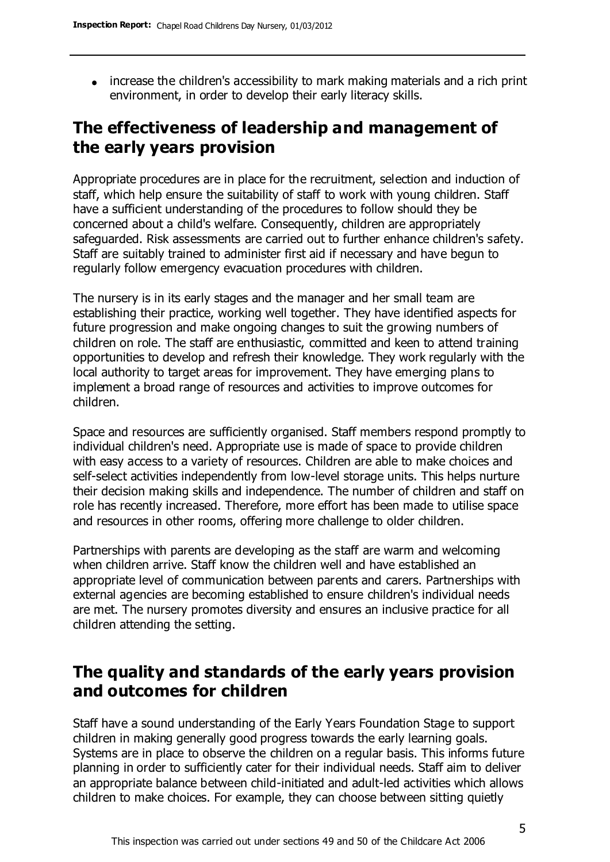increase the children's accessibility to mark making materials and a rich print environment, in order to develop their early literacy skills.

### **The effectiveness of leadership and management of the early years provision**

Appropriate procedures are in place for the recruitment, selection and induction of staff, which help ensure the suitability of staff to work with young children. Staff have a sufficient understanding of the procedures to follow should they be concerned about a child's welfare. Consequently, children are appropriately safeguarded. Risk assessments are carried out to further enhance children's safety. Staff are suitably trained to administer first aid if necessary and have begun to regularly follow emergency evacuation procedures with children.

The nursery is in its early stages and the manager and her small team are establishing their practice, working well together. They have identified aspects for future progression and make ongoing changes to suit the growing numbers of children on role. The staff are enthusiastic, committed and keen to attend training opportunities to develop and refresh their knowledge. They work regularly with the local authority to target areas for improvement. They have emerging plans to implement a broad range of resources and activities to improve outcomes for children.

Space and resources are sufficiently organised. Staff members respond promptly to individual children's need. Appropriate use is made of space to provide children with easy access to a variety of resources. Children are able to make choices and self-select activities independently from low-level storage units. This helps nurture their decision making skills and independence. The number of children and staff on role has recently increased. Therefore, more effort has been made to utilise space and resources in other rooms, offering more challenge to older children.

Partnerships with parents are developing as the staff are warm and welcoming when children arrive. Staff know the children well and have established an appropriate level of communication between parents and carers. Partnerships with external agencies are becoming established to ensure children's individual needs are met. The nursery promotes diversity and ensures an inclusive practice for all children attending the setting.

### **The quality and standards of the early years provision and outcomes for children**

Staff have a sound understanding of the Early Years Foundation Stage to support children in making generally good progress towards the early learning goals. Systems are in place to observe the children on a regular basis. This informs future planning in order to sufficiently cater for their individual needs. Staff aim to deliver an appropriate balance between child-initiated and adult-led activities which allows children to make choices. For example, they can choose between sitting quietly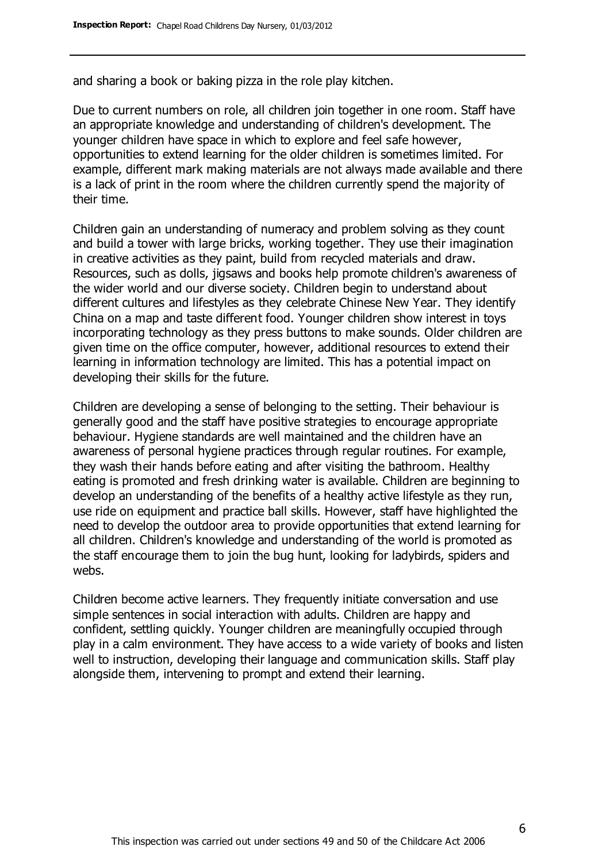and sharing a book or baking pizza in the role play kitchen.

Due to current numbers on role, all children join together in one room. Staff have an appropriate knowledge and understanding of children's development. The younger children have space in which to explore and feel safe however, opportunities to extend learning for the older children is sometimes limited. For example, different mark making materials are not always made available and there is a lack of print in the room where the children currently spend the majority of their time.

Children gain an understanding of numeracy and problem solving as they count and build a tower with large bricks, working together. They use their imagination in creative activities as they paint, build from recycled materials and draw. Resources, such as dolls, jigsaws and books help promote children's awareness of the wider world and our diverse society. Children begin to understand about different cultures and lifestyles as they celebrate Chinese New Year. They identify China on a map and taste different food. Younger children show interest in toys incorporating technology as they press buttons to make sounds. Older children are given time on the office computer, however, additional resources to extend their learning in information technology are limited. This has a potential impact on developing their skills for the future.

Children are developing a sense of belonging to the setting. Their behaviour is generally good and the staff have positive strategies to encourage appropriate behaviour. Hygiene standards are well maintained and the children have an awareness of personal hygiene practices through regular routines. For example, they wash their hands before eating and after visiting the bathroom. Healthy eating is promoted and fresh drinking water is available. Children are beginning to develop an understanding of the benefits of a healthy active lifestyle as they run, use ride on equipment and practice ball skills. However, staff have highlighted the need to develop the outdoor area to provide opportunities that extend learning for all children. Children's knowledge and understanding of the world is promoted as the staff encourage them to join the bug hunt, looking for ladybirds, spiders and webs.

Children become active learners. They frequently initiate conversation and use simple sentences in social interaction with adults. Children are happy and confident, settling quickly. Younger children are meaningfully occupied through play in a calm environment. They have access to a wide variety of books and listen well to instruction, developing their language and communication skills. Staff play alongside them, intervening to prompt and extend their learning.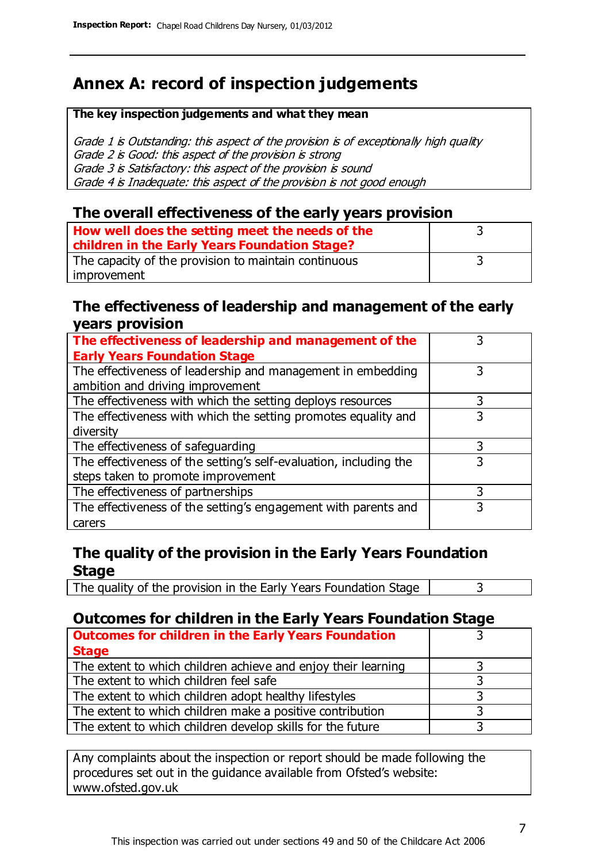### **Annex A: record of inspection judgements**

#### **The key inspection judgements and what they mean**

Grade 1 is Outstanding: this aspect of the provision is of exceptionally high quality Grade 2 is Good: this aspect of the provision is strong Grade 3 is Satisfactory: this aspect of the provision is sound Grade 4 is Inadequate: this aspect of the provision is not good enough

#### **The overall effectiveness of the early years provision**

| How well does the setting meet the needs of the      |  |
|------------------------------------------------------|--|
| children in the Early Years Foundation Stage?        |  |
| The capacity of the provision to maintain continuous |  |
| improvement                                          |  |

#### **The effectiveness of leadership and management of the early years provision**

| The effectiveness of leadership and management of the             |   |
|-------------------------------------------------------------------|---|
| <b>Early Years Foundation Stage</b>                               |   |
| The effectiveness of leadership and management in embedding       |   |
| ambition and driving improvement                                  |   |
| The effectiveness with which the setting deploys resources        |   |
| The effectiveness with which the setting promotes equality and    | 3 |
| diversity                                                         |   |
| The effectiveness of safeguarding                                 |   |
| The effectiveness of the setting's self-evaluation, including the | 3 |
| steps taken to promote improvement                                |   |
| The effectiveness of partnerships                                 | 3 |
| The effectiveness of the setting's engagement with parents and    |   |
| carers                                                            |   |

#### **The quality of the provision in the Early Years Foundation Stage**

The quality of the provision in the Early Years Foundation Stage  $\vert$  3

#### **Outcomes for children in the Early Years Foundation Stage**

| <b>Outcomes for children in the Early Years Foundation</b>    |  |
|---------------------------------------------------------------|--|
| <b>Stage</b>                                                  |  |
| The extent to which children achieve and enjoy their learning |  |
| The extent to which children feel safe                        |  |
| The extent to which children adopt healthy lifestyles         |  |
| The extent to which children make a positive contribution     |  |
| The extent to which children develop skills for the future    |  |

Any complaints about the inspection or report should be made following the procedures set out in the guidance available from Ofsted's website: www.ofsted.gov.uk